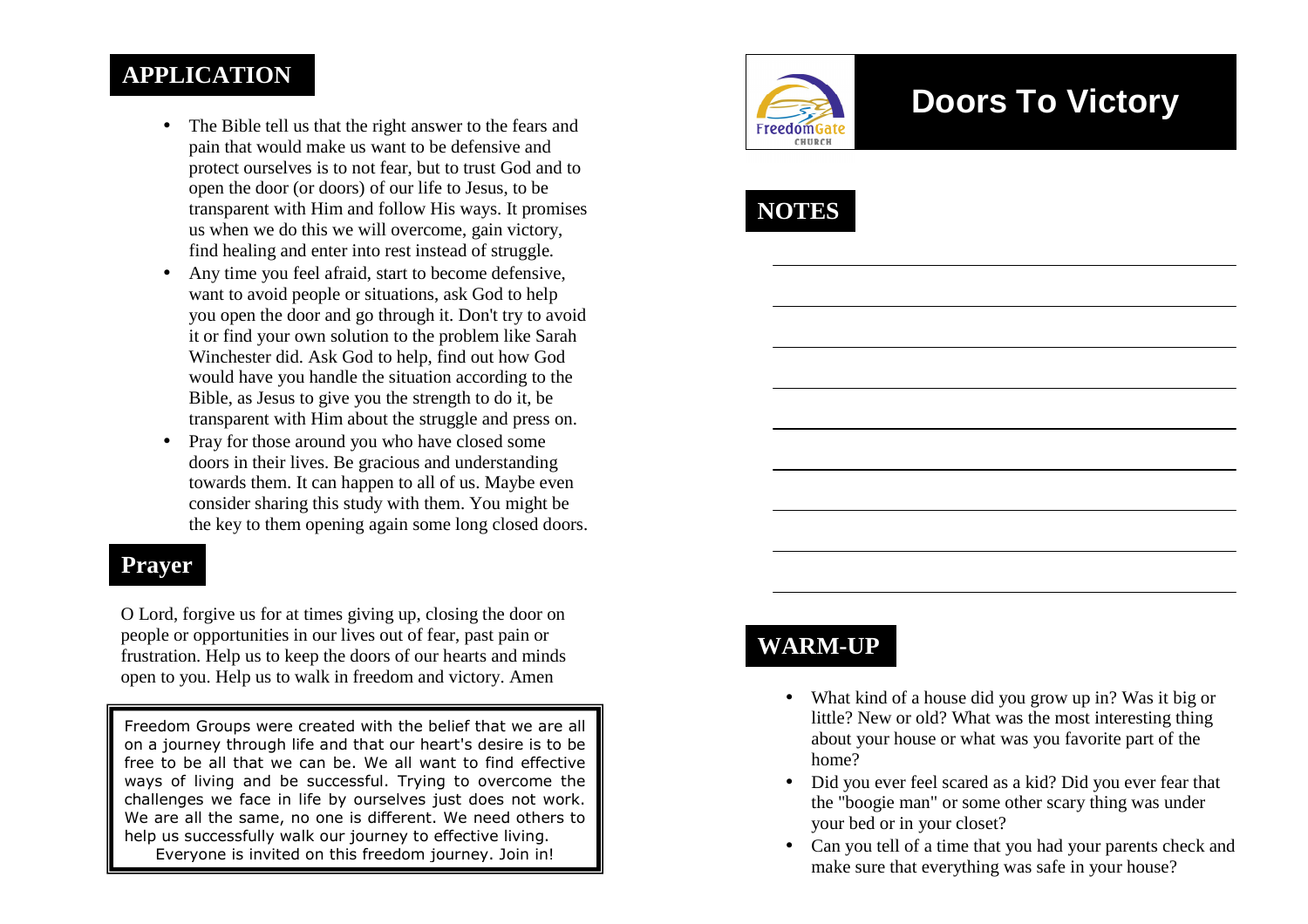#### **APPLICATION**

- The Bible tell us that the right answer to the fears and pain that would make us want to be defensive and protect ourselves is to not fear, but to trust God and to open the door (or doors) of our life to Jesus, to be transparent with Him and follow His ways. It promises us when we do this we will overcome, gain victory, find healing and enter into rest instead of struggle.
- Any time you feel afraid, start to become defensive, want to avoid people or situations, ask God to help you open the door and go through it. Don't try to avoid it or find your own solution to the problem like Sarah Winchester did. Ask God to help, find out how God would have you handle the situation according to the Bible, as Jesus to give you the strength to do it, be transparent with Him about the struggle and press on.
- $\bullet$  Pray for those around you who have closed some doors in their lives. Be gracious and understanding towards them. It can happen to all of us. Maybe even consider sharing this study with them. You might bethe key to them opening again some long closed doors.

#### **Prayer**

O Lord, forgive us for at times giving up, closing the door on people or opportunities in our lives out of fear, past pain or frustration. Help us to keep the doors of our hearts and minds open to you. Help us to walk in freedom and victory. Amen

Freedom Groups were created with the belief that we are all on a journey through life and that our heart's desire is to be free to be all that we can be. We all want to find effective ways of living and be successful. Trying to overcome the challenges we face in life by ourselves just does not work. We are all the same, no one is different. We need others to help us successfully walk our journey to effective living. Everyone is invited on this freedom journey. Join in!



# **Doors To Victory**



# **WARM-UP**

- What kind of a house did you grow up in? Was it big or little? New or old? What was the most interesting thing about your house or what was you favorite part of the home?
- Did you ever feel scared as a kid? Did you ever fear that the "boogie man" or some other scary thing was under your bed or in your closet?
- Can you tell of a time that you had your parents check and make sure that everything was safe in your house?